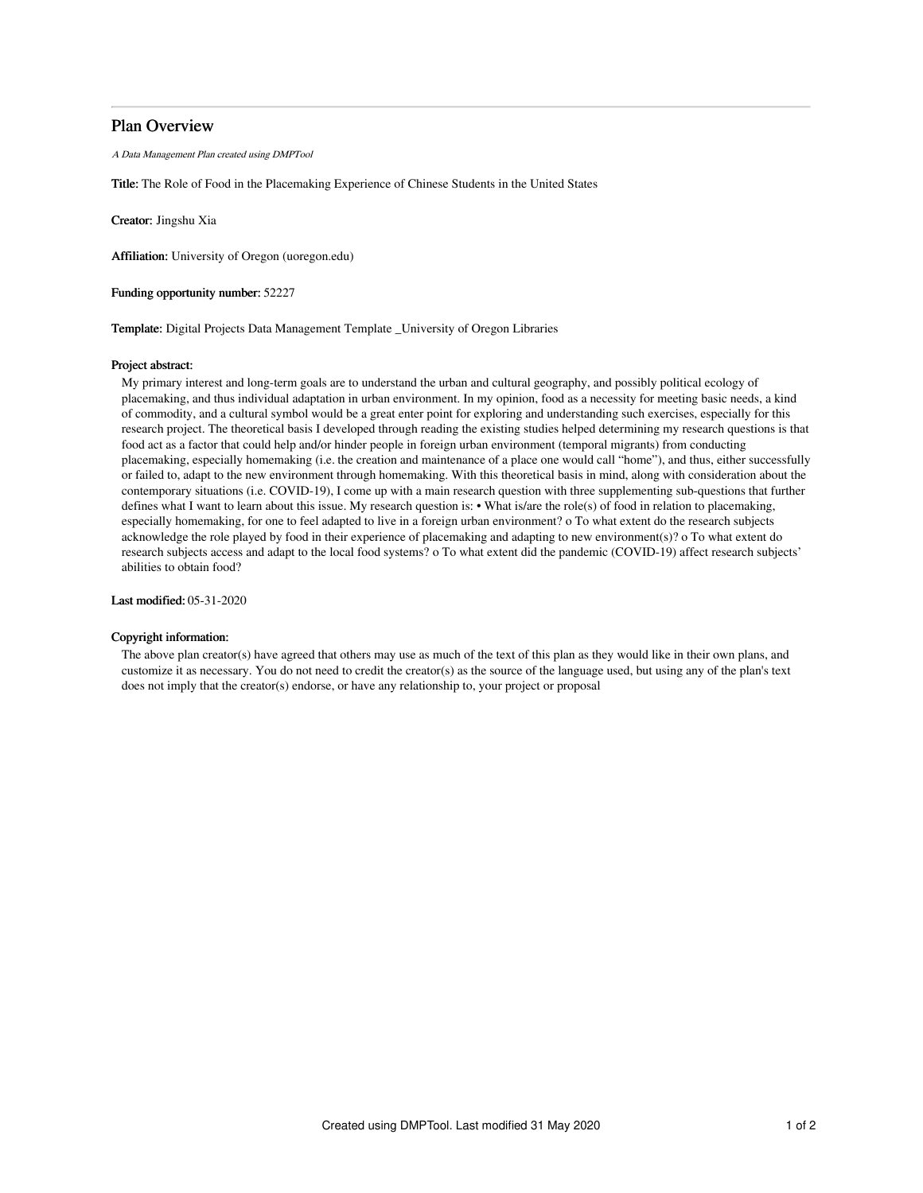# Plan Overview

A Data Management Plan created using DMPTool

Title: The Role of Food in the Placemaking Experience of Chinese Students in the United States

Creator: Jingshu Xia

Affiliation: University of Oregon (uoregon.edu)

Funding opportunity number: 52227

Template: Digital Projects Data Management Template \_University of Oregon Libraries

#### Project abstract:

My primary interest and long-term goals are to understand the urban and cultural geography, and possibly political ecology of placemaking, and thus individual adaptation in urban environment. In my opinion, food as a necessity for meeting basic needs, a kind of commodity, and a cultural symbol would be a great enter point for exploring and understanding such exercises, especially for this research project. The theoretical basis I developed through reading the existing studies helped determining my research questions is that food act as a factor that could help and/or hinder people in foreign urban environment (temporal migrants) from conducting placemaking, especially homemaking (i.e. the creation and maintenance of a place one would call "home"), and thus, either successfully or failed to, adapt to the new environment through homemaking. With this theoretical basis in mind, along with consideration about the contemporary situations (i.e. COVID-19), I come up with a main research question with three supplementing sub-questions that further defines what I want to learn about this issue. My research question is: • What is/are the role(s) of food in relation to placemaking, especially homemaking, for one to feel adapted to live in a foreign urban environment? o To what extent do the research subjects acknowledge the role played by food in their experience of placemaking and adapting to new environment(s)? o To what extent do research subjects access and adapt to the local food systems? o To what extent did the pandemic (COVID-19) affect research subjects' abilities to obtain food?

Last modified: 05-31-2020

# Copyright information:

The above plan creator(s) have agreed that others may use as much of the text of this plan as they would like in their own plans, and customize it as necessary. You do not need to credit the creator(s) as the source of the language used, but using any of the plan's text does not imply that the creator(s) endorse, or have any relationship to, your project or proposal